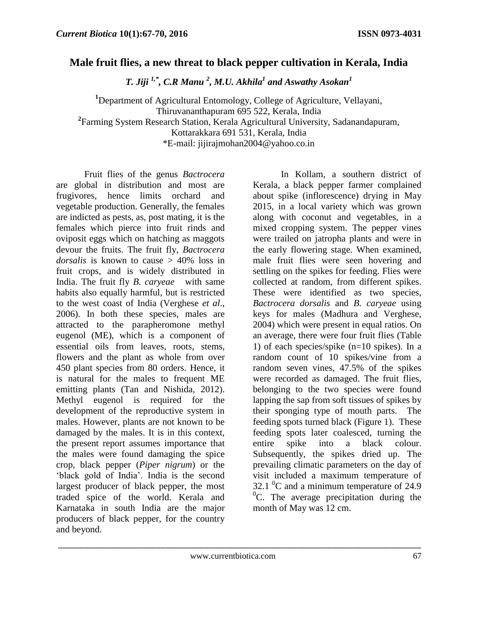## **Male fruit flies, a new threat to black pepper cultivation in Kerala, India**

*T. Jiji 1,\* , C.R Manu <sup>2</sup> , M.U. Akhila<sup>1</sup> and Aswathy Asokan<sup>1</sup>*

**<sup>1</sup>**Department of Agricultural Entomology, College of Agriculture, Vellayani, Thiruvananthapuram 695 522, Kerala, India **2** Farming System Research Station, Kerala Agricultural University, Sadanandapuram, Kottarakkara 691 531, Kerala, India \*E-mail: jijirajmohan2004@yahoo.co.in

Fruit flies of the genus *Bactrocera* are global in distribution and most are frugivores, hence limits orchard and vegetable production. Generally, the females are indicted as pests, as, post mating, it is the females which pierce into fruit rinds and oviposit eggs which on hatching as maggots devour the fruits. The fruit fly, *Bactrocera dorsalis* is known to cause > 40% loss in fruit crops, and is widely distributed in India. The fruit fly *B. caryeae* with same habits also equally harmful, but is restricted to the west coast of India (Verghese *et al*., 2006). In both these species, males are attracted to the parapheromone methyl eugenol (ME), which is a component of essential oils from leaves, roots, stems, flowers and the plant as whole from over 450 plant species from 80 orders. Hence, it is natural for the males to frequent ME emitting plants (Tan and Nishida, 2012). Methyl eugenol is required for the development of the reproductive system in males. However, plants are not known to be damaged by the males. It is in this context, the present report assumes importance that the males were found damaging the spice crop, black pepper (*Piper nigrum*) or the 'black gold of India'. India is the second largest producer of black pepper, the most traded spice of the world. Kerala and Karnataka in south India are the major producers of black pepper, for the country and beyond.

 In Kollam, a southern district of Kerala, a black pepper farmer complained about spike (inflorescence) drying in May 2015, in a local variety which was grown along with coconut and vegetables, in a mixed cropping system. The pepper vines were trailed on jatropha plants and were in the early flowering stage. When examined, male fruit flies were seen hovering and settling on the spikes for feeding. Flies were collected at random, from different spikes. These were identified as two species, *Bactrocera dorsalis* and *B. caryeae* using keys for males (Madhura and Verghese, 2004) which were present in equal ratios. On an average, there were four fruit flies (Table 1) of each species/spike (n=10 spikes). In a random count of 10 spikes/vine from a random seven vines, 47.5% of the spikes were recorded as damaged. The fruit flies, belonging to the two species were found lapping the sap from soft tissues of spikes by their sponging type of mouth parts. The feeding spots turned black (Figure 1). These feeding spots later coalesced, turning the entire spike into a black colour. Subsequently, the spikes dried up. The prevailing climatic parameters on the day of visit included a maximum temperature of 32.1  $\mathrm{^{0}C}$  and a minimum temperature of 24.9  ${}^{0}C$ . The average precipitation during the month of May was 12 cm.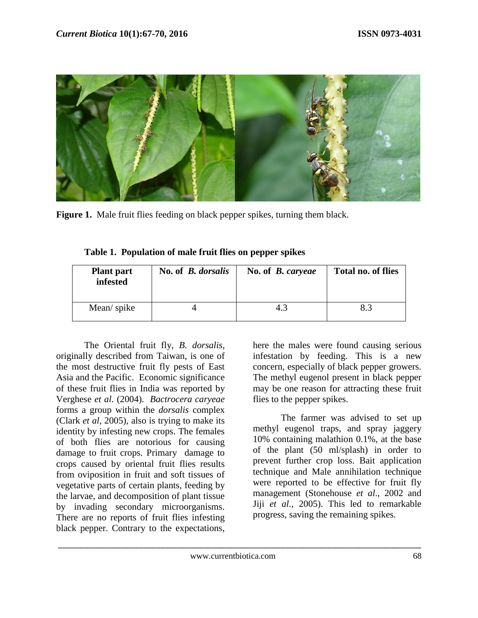

Figure 1. Male fruit flies feeding on black pepper spikes, turning them black.

| <b>Plant part</b><br>infested | No. of <i>B. dorsalis</i> | No. of <i>B. caryeae</i> | <b>Total no. of flies</b> |
|-------------------------------|---------------------------|--------------------------|---------------------------|
| Mean/spike                    |                           | 4.3                      |                           |

**Table 1. Population of male fruit flies on pepper spikes**

 The Oriental fruit fly, *B. dorsalis*, originally described from Taiwan, is one of the most destructive fruit fly pests of East Asia and the Pacific. Economic significance of these fruit flies in India was reported by Verghese *et al*. (2004). *Bactrocera caryeae* forms a group within the *dorsalis* complex (Clark *et al*, 2005), also is trying to make its identity by infesting new crops. The females of both flies are notorious for causing damage to fruit crops. Primary damage to crops caused by oriental fruit flies results from oviposition in fruit and soft tissues of vegetative parts of certain plants, feeding by the larvae, and decomposition of plant tissue by invading secondary microorganisms. There are no reports of fruit flies infesting black pepper. Contrary to the expectations,

here the males were found causing serious infestation by feeding. This is a new concern, especially of black pepper growers. The methyl eugenol present in black pepper may be one reason for attracting these fruit flies to the pepper spikes.

 The farmer was advised to set up methyl eugenol traps, and spray jaggery 10% containing malathion 0.1%, at the base of the plant (50 ml/splash) in order to prevent further crop loss. Bait application technique and Male annihilation technique were reported to be effective for fruit fly management (Stonehouse *et al*., 2002 and Jiji *et al.*, 2005). This led to remarkable progress, saving the remaining spikes.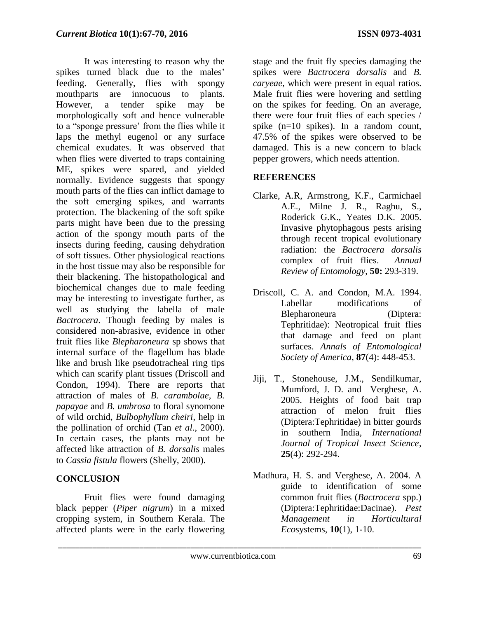It was interesting to reason why the spikes turned black due to the males' feeding. Generally, flies with spongy mouthparts are innocuous to plants. However, a tender spike may be morphologically soft and hence vulnerable to a "sponge pressure' from the flies while it laps the methyl eugenol or any surface chemical exudates. It was observed that when flies were diverted to traps containing ME, spikes were spared, and yielded normally. Evidence suggests that spongy mouth parts of the flies can inflict damage to the soft emerging spikes, and warrants protection. The blackening of the soft spike parts might have been due to the pressing action of the spongy mouth parts of the insects during feeding, causing dehydration of soft tissues. Other physiological reactions in the host tissue may also be responsible for their blackening. The histopathological and biochemical changes due to male feeding may be interesting to investigate further, as well as studying the labella of male *Bactrocera*. Though feeding by males is considered non-abrasive, evidence in other fruit flies like *Blepharoneura* sp shows that internal surface of the flagellum has blade like and brush like pseudotracheal ring tips which can scarify plant tissues (Driscoll and Condon, 1994). There are reports that attraction of males of *B. carambolae, B. papayae* and *B. umbrosa* to floral synomone of wild orchid, *Bulbophyllum cheiri*, help in the pollination of orchid (Tan *et al*., 2000). In certain cases, the plants may not be affected like attraction of *B. dorsalis* males to *Cassia fistula* flowers (Shelly, 2000).

## **CONCLUSION**

Fruit flies were found damaging black pepper (*Piper nigrum*) in a mixed cropping system, in Southern Kerala. The affected plants were in the early flowering

stage and the fruit fly species damaging the spikes were *Bactrocera dorsalis* and *B. caryeae,* which were present in equal ratios. Male fruit flies were hovering and settling on the spikes for feeding. On an average, there were four fruit flies of each species / spike (n=10 spikes). In a random count, 47.5% of the spikes were observed to be damaged. This is a new concern to black pepper growers, which needs attention.

## **REFERENCES**

- Clarke, A.R, Armstrong, K.F., Carmichael A.E., Milne J. R., Raghu, S., Roderick G.K., Yeates D.K. 2005. Invasive phytophagous pests arising through recent tropical evolutionary radiation: the *Bactrocera dorsalis* complex of fruit flies. *Annual Review of Entomology*, **50:** 293-319.
- Driscoll, C. A. and Condon, M.A. 1994. Labellar modifications of Blepharoneura (Diptera: Tephritidae): Neotropical fruit flies that damage and feed on plant surfaces. *Annals of Entomological Society of America,* **87**(4): 448-453.
- Jiji, T., Stonehouse, J.M., Sendilkumar, Mumford, J. D. and Verghese, A. 2005. Heights of food bait trap attraction of melon fruit flies (Diptera:Tephritidae) in bitter gourds in southern India, *International Journal of Tropical Insect Science*, **25**(4): 292-294.
- Madhura, H. S. and Verghese, A. 2004. A guide to identification of some common fruit flies (*Bactrocera* spp.) (Diptera:Tephritidae:Dacinae). *Pest Management in Horticultural Eco*systems, **10**(1), 1-10.